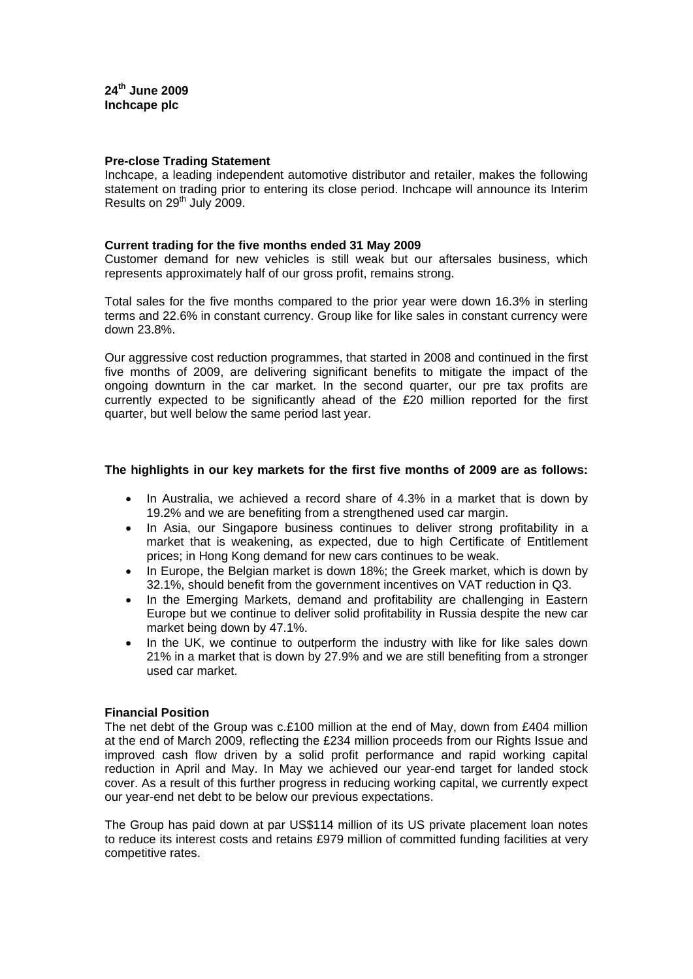### **Pre-close Trading Statement**

Inchcape, a leading independent automotive distributor and retailer, makes the following statement on trading prior to entering its close period. Inchcape will announce its Interim Results on 29<sup>th</sup> July 2009.

### **Current trading for the five months ended 31 May 2009**

Customer demand for new vehicles is still weak but our aftersales business, which represents approximately half of our gross profit, remains strong.

Total sales for the five months compared to the prior year were down 16.3% in sterling terms and 22.6% in constant currency. Group like for like sales in constant currency were down 23.8%.

Our aggressive cost reduction programmes, that started in 2008 and continued in the first five months of 2009, are delivering significant benefits to mitigate the impact of the ongoing downturn in the car market. In the second quarter, our pre tax profits are currently expected to be significantly ahead of the £20 million reported for the first quarter, but well below the same period last year.

# **The highlights in our key markets for the first five months of 2009 are as follows:**

- In Australia, we achieved a record share of 4.3% in a market that is down by 19.2% and we are benefiting from a strengthened used car margin.
- In Asia, our Singapore business continues to deliver strong profitability in a market that is weakening, as expected, due to high Certificate of Entitlement prices; in Hong Kong demand for new cars continues to be weak.
- In Europe, the Belgian market is down 18%; the Greek market, which is down by 32.1%, should benefit from the government incentives on VAT reduction in Q3.
- In the Emerging Markets, demand and profitability are challenging in Eastern Europe but we continue to deliver solid profitability in Russia despite the new car market being down by 47.1%.
- In the UK, we continue to outperform the industry with like for like sales down 21% in a market that is down by 27.9% and we are still benefiting from a stronger used car market.

# **Financial Position**

The net debt of the Group was c.£100 million at the end of May, down from £404 million at the end of March 2009, reflecting the £234 million proceeds from our Rights Issue and improved cash flow driven by a solid profit performance and rapid working capital reduction in April and May. In May we achieved our year-end target for landed stock cover. As a result of this further progress in reducing working capital, we currently expect our year-end net debt to be below our previous expectations.

The Group has paid down at par US\$114 million of its US private placement loan notes to reduce its interest costs and retains £979 million of committed funding facilities at very competitive rates.